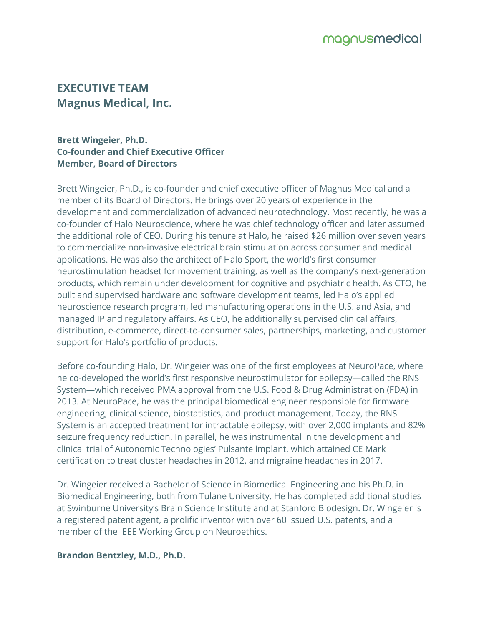# **EXECUTIVE TEAM Magnus Medical, Inc.**

#### **Brett Wingeier, Ph.D. Co-founder and Chief Executive Officer Member, Board of Directors**

Brett Wingeier, Ph.D., is co-founder and chief executive officer of Magnus Medical and a member of its Board of Directors. He brings over 20 years of experience in the development and commercialization of advanced neurotechnology. Most recently, he was a co-founder of Halo Neuroscience, where he was chief technology officer and later assumed the additional role of CEO. During his tenure at Halo, he raised \$26 million over seven years to commercialize non-invasive electrical brain stimulation across consumer and medical applications. He was also the architect of Halo Sport, the world's first consumer neurostimulation headset for movement training, as well as the company's next-generation products, which remain under development for cognitive and psychiatric health. As CTO, he built and supervised hardware and software development teams, led Halo's applied neuroscience research program, led manufacturing operations in the U.S. and Asia, and managed IP and regulatory affairs. As CEO, he additionally supervised clinical affairs, distribution, e-commerce, direct-to-consumer sales, partnerships, marketing, and customer support for Halo's portfolio of products.

Before co-founding Halo, Dr. Wingeier was one of the first employees at NeuroPace, where he co-developed the world's first responsive neurostimulator for epilepsy—called the RNS System—which received PMA approval from the U.S. Food & Drug Administration (FDA) in 2013. At NeuroPace, he was the principal biomedical engineer responsible for firmware engineering, clinical science, biostatistics, and product management. Today, the RNS System is an accepted treatment for intractable epilepsy, with over 2,000 implants and 82% seizure frequency reduction. In parallel, he was instrumental in the development and clinical trial of Autonomic Technologies' Pulsante implant, which attained CE Mark certification to treat cluster headaches in 2012, and migraine headaches in 2017.

Dr. Wingeier received a Bachelor of Science in Biomedical Engineering and his Ph.D. in Biomedical Engineering, both from Tulane University. He has completed additional studies at Swinburne University's Brain Science Institute and at Stanford Biodesign. Dr. Wingeier is a registered patent agent, a prolific inventor with over 60 issued U.S. patents, and a member of the IEEE Working Group on Neuroethics.

**Brandon Bentzley, M.D., Ph.D.**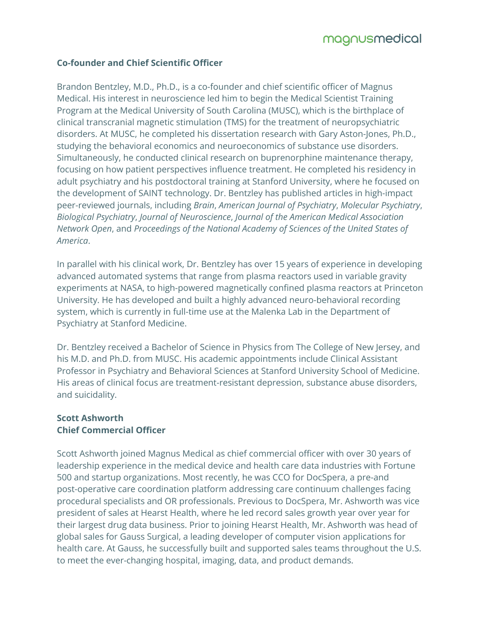## **Co-founder and Chief Scientific Officer**

Brandon Bentzley, M.D., Ph.D., is a co-founder and chief scientific officer of Magnus Medical. His interest in neuroscience led him to begin the Medical Scientist Training Program at the Medical University of South Carolina (MUSC), which is the birthplace of clinical transcranial magnetic stimulation (TMS) for the treatment of neuropsychiatric disorders. At MUSC, he completed his dissertation research with Gary Aston-Jones, Ph.D., studying the behavioral economics and neuroeconomics of substance use disorders. Simultaneously, he conducted clinical research on buprenorphine maintenance therapy, focusing on how patient perspectives influence treatment. He completed his residency in adult psychiatry and his postdoctoral training at Stanford University, where he focused on the development of SAINT technology. Dr. Bentzley has published articles in high-impact peer-reviewed journals, including *Brain*, *American Journal of Psychiatry*, *Molecular Psychiatry*, *Biological Psychiatry*, *Journal of Neuroscience*, *Journal of the American Medical Association Network Open*, and *Proceedings of the National Academy of Sciences of the United States of America*.

In parallel with his clinical work, Dr. Bentzley has over 15 years of experience in developing advanced automated systems that range from plasma reactors used in variable gravity experiments at NASA, to high-powered magnetically confined plasma reactors at Princeton University. He has developed and built a highly advanced neuro-behavioral recording system, which is currently in full-time use at the Malenka Lab in the Department of Psychiatry at Stanford Medicine.

Dr. Bentzley received a Bachelor of Science in Physics from The College of New Jersey, and his M.D. and Ph.D. from MUSC. His academic appointments include Clinical Assistant Professor in Psychiatry and Behavioral Sciences at Stanford University School of Medicine. His areas of clinical focus are treatment-resistant depression, substance abuse disorders, and suicidality.

## **Scott Ashworth Chief Commercial Officer**

Scott Ashworth joined Magnus Medical as chief commercial officer with over 30 years of leadership experience in the medical device and health care data industries with Fortune 500 and startup organizations. Most recently, he was CCO for DocSpera, a pre-and post-operative care coordination platform addressing care continuum challenges facing procedural specialists and OR professionals. Previous to DocSpera, Mr. Ashworth was vice president of sales at Hearst Health, where he led record sales growth year over year for their largest drug data business. Prior to joining Hearst Health, Mr. Ashworth was head of global sales for Gauss Surgical, a leading developer of computer vision applications for health care. At Gauss, he successfully built and supported sales teams throughout the U.S. to meet the ever-changing hospital, imaging, data, and product demands.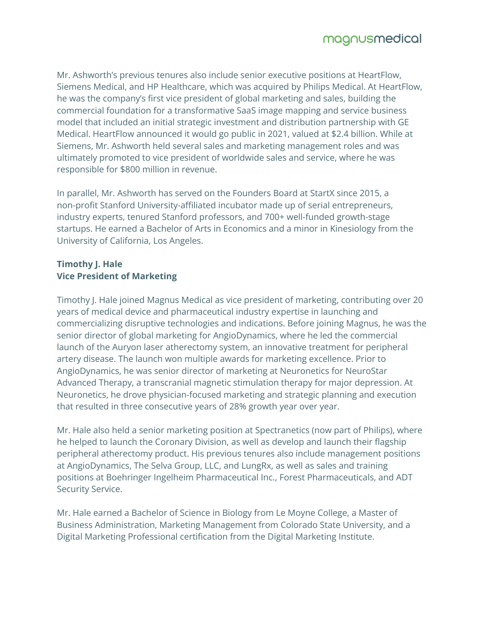Mr. Ashworth's previous tenures also include senior executive positions at HeartFlow, Siemens Medical, and HP Healthcare, which was acquired by Philips Medical. At HeartFlow, he was the company's first vice president of global marketing and sales, building the commercial foundation for a transformative SaaS image mapping and service business model that included an initial strategic investment and distribution partnership with GE Medical. HeartFlow announced it would go public in 2021, valued at \$2.4 billion. While at Siemens, Mr. Ashworth held several sales and marketing management roles and was ultimately promoted to vice president of worldwide sales and service, where he was responsible for \$800 million in revenue.

In parallel, Mr. Ashworth has served on the Founders Board at StartX since 2015, a non-profit Stanford University-affiliated incubator made up of serial entrepreneurs, industry experts, tenured Stanford professors, and 700+ well-funded growth-stage startups. He earned a Bachelor of Arts in Economics and a minor in Kinesiology from the University of California, Los Angeles.

## **Timothy J. Hale Vice President of Marketing**

Timothy J. Hale joined Magnus Medical as vice president of marketing, contributing over 20 years of medical device and pharmaceutical industry expertise in launching and commercializing disruptive technologies and indications. Before joining Magnus, he was the senior director of global marketing for AngioDynamics, where he led the commercial launch of the Auryon laser atherectomy system, an innovative treatment for peripheral artery disease. The launch won multiple awards for marketing excellence. Prior to AngioDynamics, he was senior director of marketing at Neuronetics for NeuroStar Advanced Therapy, a transcranial magnetic stimulation therapy for major depression. At Neuronetics, he drove physician-focused marketing and strategic planning and execution that resulted in three consecutive years of 28% growth year over year.

Mr. Hale also held a senior marketing position at Spectranetics (now part of Philips), where he helped to launch the Coronary Division, as well as develop and launch their flagship peripheral atherectomy product. His previous tenures also include management positions at AngioDynamics, The Selva Group, LLC, and LungRx, as well as sales and training positions at Boehringer Ingelheim Pharmaceutical Inc., Forest Pharmaceuticals, and ADT Security Service.

Mr. Hale earned a Bachelor of Science in Biology from Le Moyne College, a Master of Business Administration, Marketing Management from Colorado State University, and a Digital Marketing Professional certification from the Digital Marketing Institute.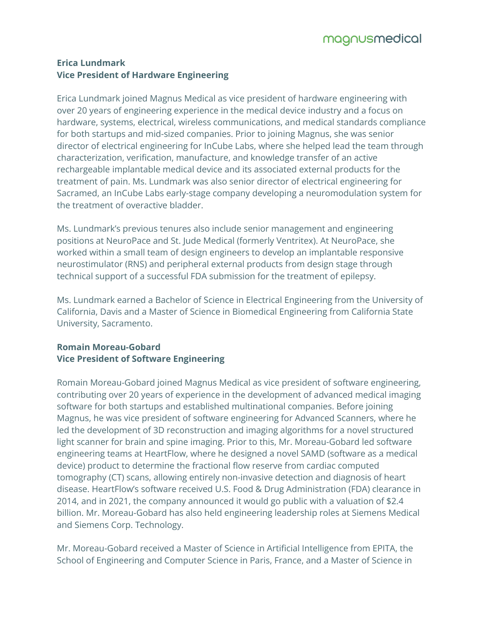# **Erica Lundmark Vice President of Hardware Engineering**

Erica Lundmark joined Magnus Medical as vice president of hardware engineering with over 20 years of engineering experience in the medical device industry and a focus on hardware, systems, electrical, wireless communications, and medical standards compliance for both startups and mid-sized companies. Prior to joining Magnus, she was senior director of electrical engineering for InCube Labs, where she helped lead the team through characterization, verification, manufacture, and knowledge transfer of an active rechargeable implantable medical device and its associated external products for the treatment of pain. Ms. Lundmark was also senior director of electrical engineering for Sacramed, an InCube Labs early-stage company developing a neuromodulation system for the treatment of overactive bladder.

Ms. Lundmark's previous tenures also include senior management and engineering positions at NeuroPace and St. Jude Medical (formerly Ventritex). At NeuroPace, she worked within a small team of design engineers to develop an implantable responsive neurostimulator (RNS) and peripheral external products from design stage through technical support of a successful FDA submission for the treatment of epilepsy.

Ms. Lundmark earned a Bachelor of Science in Electrical Engineering from the University of California, Davis and a Master of Science in Biomedical Engineering from California State University, Sacramento.

# **Romain Moreau-Gobard Vice President of Software Engineering**

Romain Moreau-Gobard joined Magnus Medical as vice president of software engineering, contributing over 20 years of experience in the development of advanced medical imaging software for both startups and established multinational companies. Before joining Magnus, he was vice president of software engineering for Advanced Scanners, where he led the development of 3D reconstruction and imaging algorithms for a novel structured light scanner for brain and spine imaging. Prior to this, Mr. Moreau-Gobard led software engineering teams at HeartFlow, where he designed a novel SAMD (software as a medical device) product to determine the fractional flow reserve from cardiac computed tomography (CT) scans, allowing entirely non-invasive detection and diagnosis of heart disease. HeartFlow's software received U.S. Food & Drug Administration (FDA) clearance in 2014, and in 2021, the company announced it would go public with a valuation of \$2.4 billion. Mr. Moreau-Gobard has also held engineering leadership roles at Siemens Medical and Siemens Corp. Technology.

Mr. Moreau-Gobard received a Master of Science in Artificial Intelligence from EPITA, the School of Engineering and Computer Science in Paris, France, and a Master of Science in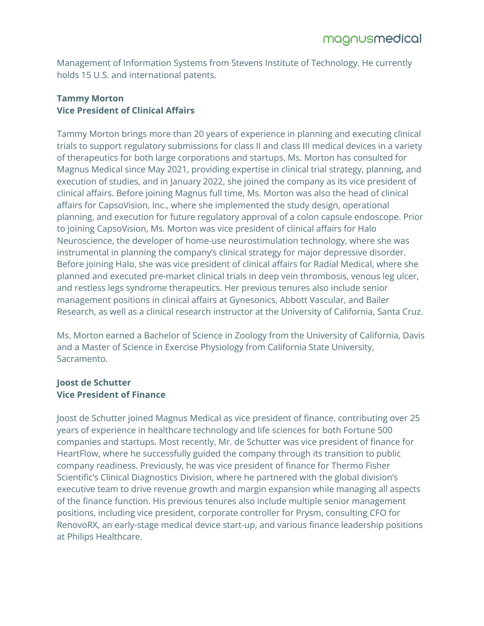Management of Information Systems from Stevens Institute of Technology. He currently holds 15 U.S. and international patents.

### **Tammy Morton Vice President of Clinical Affairs**

Tammy Morton brings more than 20 years of experience in planning and executing clinical trials to support regulatory submissions for class II and class III medical devices in a variety of therapeutics for both large corporations and startups. Ms. Morton has consulted for Magnus Medical since May 2021, providing expertise in clinical trial strategy, planning, and execution of studies, and in January 2022, she joined the company as its vice president of clinical affairs. Before joining Magnus full time, Ms. Morton was also the head of clinical affairs for CapsoVision, Inc., where she implemented the study design, operational planning, and execution for future regulatory approval of a colon capsule endoscope. Prior to joining CapsoVision, Ms. Morton was vice president of clinical affairs for Halo Neuroscience, the developer of home-use neurostimulation technology, where she was instrumental in planning the company's clinical strategy for major depressive disorder. Before joining Halo, she was vice president of clinical affairs for Radial Medical, where she planned and executed pre-market clinical trials in deep vein thrombosis, venous leg ulcer, and restless legs syndrome therapeutics. Her previous tenures also include senior management positions in clinical affairs at Gynesonics, Abbott Vascular, and Bailer Research, as well as a clinical research instructor at the University of California, Santa Cruz.

Ms. Morton earned a Bachelor of Science in Zoology from the University of California, Davis and a Master of Science in Exercise Physiology from California State University, Sacramento.

#### **Joost de Schutter Vice President of Finance**

Joost de Schutter joined Magnus Medical as vice president of finance, contributing over 25 years of experience in healthcare technology and life sciences for both Fortune 500 companies and startups. Most recently, Mr. de Schutter was vice president of finance for HeartFlow, where he successfully guided the company through its transition to public company readiness. Previously, he was vice president of finance for Thermo Fisher Scientific's Clinical Diagnostics Division, where he partnered with the global division's executive team to drive revenue growth and margin expansion while managing all aspects of the finance function. His previous tenures also include multiple senior management positions, including vice president, corporate controller for Prysm, consulting CFO for RenovoRX, an early-stage medical device start-up, and various finance leadership positions at Philips Healthcare.